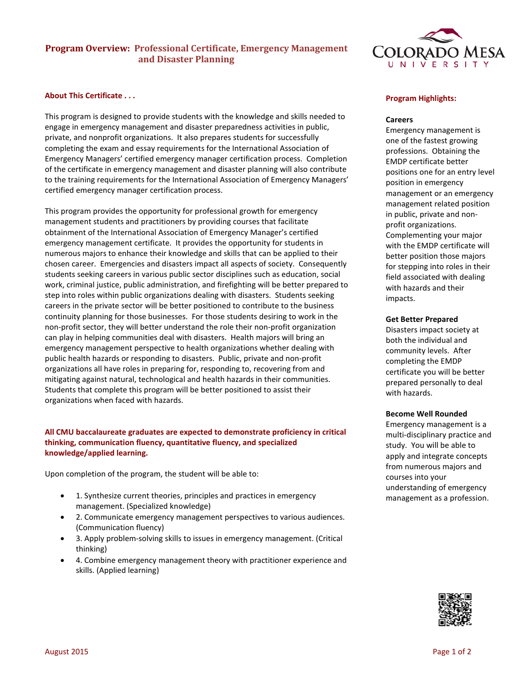# **Program Overview: Professional Certificate, Emergency Management and Disaster Planning**

## **About This Certificate . . .**

This program is designed to provide students with the knowledge and skills needed to engage in emergency management and disaster preparedness activities in public, private, and nonprofit organizations. It also prepares students for successfully completing the exam and essay requirements for the International Association of Emergency Managers' certified emergency manager certification process. Completion of the certificate in emergency management and disaster planning will also contribute to the training requirements for the International Association of Emergency Managers' certified emergency manager certification process.

This program provides the opportunity for professional growth for emergency management students and practitioners by providing courses that facilitate obtainment of the International Association of Emergency Manager's certified emergency management certificate. It provides the opportunity for students in numerous majors to enhance their knowledge and skills that can be applied to their chosen career. Emergencies and disasters impact all aspects of society. Consequently students seeking careers in various public sector disciplines such as education, social work, criminal justice, public administration, and firefighting will be better prepared to step into roles within public organizations dealing with disasters. Students seeking careers in the private sector will be better positioned to contribute to the business continuity planning for those businesses. For those students desiring to work in the non-profit sector, they will better understand the role their non-profit organization can play in helping communities deal with disasters. Health majors will bring an emergency management perspective to health organizations whether dealing with public health hazards or responding to disasters. Public, private and non-profit organizations all have roles in preparing for, responding to, recovering from and mitigating against natural, technological and health hazards in their communities. Students that complete this program will be better positioned to assist their organizations when faced with hazards.

## **All CMU baccalaureate graduates are expected to demonstrate proficiency in critical thinking, communication fluency, quantitative fluency, and specialized knowledge/applied learning.**

Upon completion of the program, the student will be able to:

- 1. Synthesize current theories, principles and practices in emergency management. (Specialized knowledge)
- 2. Communicate emergency management perspectives to various audiences. (Communication fluency)
- 3. Apply problem-solving skills to issues in emergency management. (Critical thinking)
- 4. Combine emergency management theory with practitioner experience and skills. (Applied learning)



## **Program Highlights:**

#### **Careers**

Emergency management is one of the fastest growing professions. Obtaining the EMDP certificate better positions one for an entry level position in emergency management or an emergency management related position in public, private and nonprofit organizations. Complementing your major with the EMDP certificate will better position those majors for stepping into roles in their field associated with dealing with hazards and their impacts.

#### **Get Better Prepared**

Disasters impact society at both the individual and community levels. After completing the EMDP certificate you will be better prepared personally to deal with hazards.

#### **Become Well Rounded**

Emergency management is a multi-disciplinary practice and study. You will be able to apply and integrate concepts from numerous majors and courses into your understanding of emergency management as a profession.